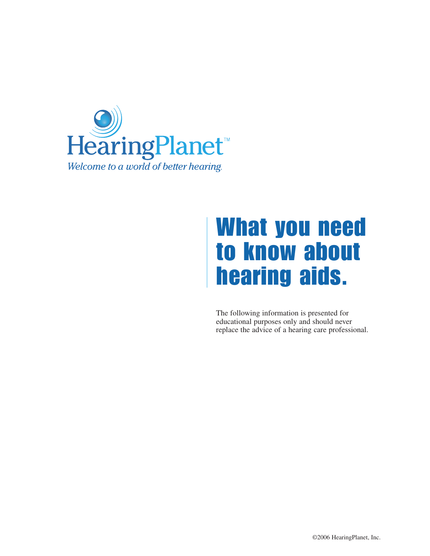

# What you need to know about hearing aids.

The following information is presented for educational purposes only and should never replace the advice of a hearing care professional.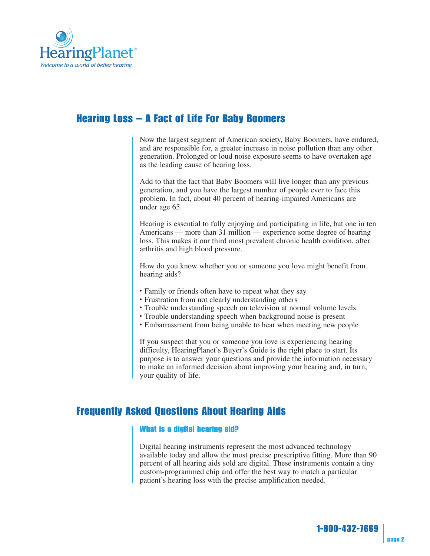

## Hearing Loss – A Fact of Life For Baby Boomers

Now the largest segment of American society, Baby Boomers, have endured, and are responsible for, a greater increase in noise pollution than any other generation. Prolonged or loud noise exposure seems to have overtaken age as the leading cause of hearing loss.

Add to that the fact that Baby Boomers will live longer than any previous generation, and you have the largest number of people ever to face this problem. In fact, about 40 percent of hearing-impaired Americans are under age 65.

Hearing is essential to fully enjoying and participating in life, but one in ten Americans — more than 31 million — experience some degree of hearing loss. This makes it our third most prevalent chronic health condition, after arthritis and high blood pressure.

How do you know whether you or someone you love might benefit from hearing aids?

- Family or friends often have to repeat what they say
- Frustration from not clearly understanding others
- Trouble understanding speech on television at normal volume levels
- Trouble understanding speech when background noise is present
- Embarrassment from being unable to hear when meeting new people

If you suspect that you or someone you love is experiencing hearing difficulty, HearingPlanet's Buyer's Guide is the right place to start. Its purpose is to answer your questions and provide the information necessary to make an informed decision about improving your hearing and, in turn, your quality of life.

## Frequently Asked Questions About Hearing Aids

#### What is a digital hearing aid?

Digital hearing instruments represent the most advanced technology available today and allow the most precise prescriptive fitting. More than 90 percent of all hearing aids sold are digital. These instruments contain a tiny custom-programmed chip and offer the best way to match a particular patient's hearing loss with the precise amplification needed.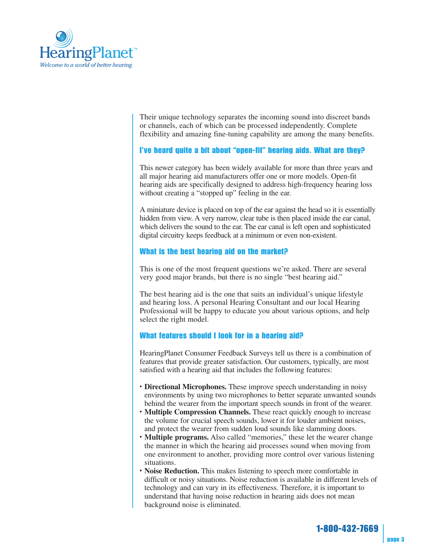

Their unique technology separates the incoming sound into discreet bands or channels, each of which can be processed independently. Complete flexibility and amazing fine-tuning capability are among the many benefits.

#### I've heard quite a bit about "open-fit" hearing aids. What are they?

This newer category has been widely available for more than three years and all major hearing aid manufacturers offer one or more models. Open-fit hearing aids are specifically designed to address high-frequency hearing loss without creating a "stopped up" feeling in the ear.

A miniature device is placed on top of the ear against the head so it is essentially hidden from view. A very narrow, clear tube is then placed inside the ear canal, which delivers the sound to the ear. The ear canal is left open and sophisticated digital circuitry keeps feedback at a minimum or even non-existent.

#### What is the best hearing aid on the market?

This is one of the most frequent questions we're asked. There are several very good major brands, but there is no single "best hearing aid."

The best hearing aid is the one that suits an individual's unique lifestyle and hearing loss. A personal Hearing Consultant and our local Hearing Professional will be happy to educate you about various options, and help select the right model.

#### What features should I look for in a hearing aid?

HearingPlanet Consumer Feedback Surveys tell us there is a combination of features that provide greater satisfaction. Our customers, typically, are most satisfied with a hearing aid that includes the following features:

- **Directional Microphones.** These improve speech understanding in noisy environments by using two microphones to better separate unwanted sounds behind the wearer from the important speech sounds in front of the wearer.
- **Multiple Compression Channels.** These react quickly enough to increase the volume for crucial speech sounds, lower it for louder ambient noises, and protect the wearer from sudden loud sounds like slamming doors.
- **Multiple programs.** Also called "memories," these let the wearer change the manner in which the hearing aid processes sound when moving from one environment to another, providing more control over various listening situations.
- **Noise Reduction.** This makes listening to speech more comfortable in difficult or noisy situations. Noise reduction is available in different levels of technology and can vary in its effectiveness. Therefore, it is important to understand that having noise reduction in hearing aids does not mean background noise is eliminated.

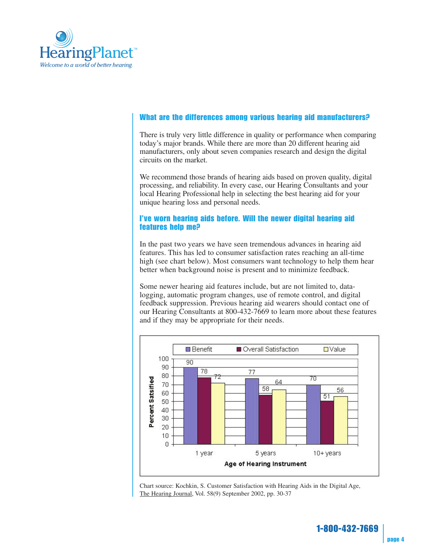

#### What are the differences among various hearing aid manufacturers?

There is truly very little difference in quality or performance when comparing today's major brands. While there are more than 20 different hearing aid manufacturers, only about seven companies research and design the digital circuits on the market.

We recommend those brands of hearing aids based on proven quality, digital processing, and reliability. In every case, our Hearing Consultants and your local Hearing Professional help in selecting the best hearing aid for your unique hearing loss and personal needs.

#### I've worn hearing aids before. Will the newer digital hearing aid features help me?

In the past two years we have seen tremendous advances in hearing aid features. This has led to consumer satisfaction rates reaching an all-time high (see chart below). Most consumers want technology to help them hear better when background noise is present and to minimize feedback.

Some newer hearing aid features include, but are not limited to, datalogging, automatic program changes, use of remote control, and digital feedback suppression. Previous hearing aid wearers should contact one of our Hearing Consultants at 800-432-7669 to learn more about these features and if they may be appropriate for their needs.



Chart source: Kochkin, S. Customer Satisfaction with Hearing Aids in the Digital Age, The Hearing Journal, Vol. 58(9) September 2002, pp. 30-37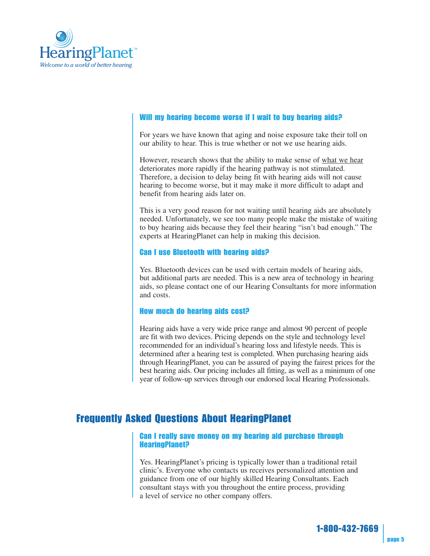

#### Will my hearing become worse if I wait to buy hearing aids?

For years we have known that aging and noise exposure take their toll on our ability to hear. This is true whether or not we use hearing aids.

However, research shows that the ability to make sense of what we hear deteriorates more rapidly if the hearing pathway is not stimulated. Therefore, a decision to delay being fit with hearing aids will not cause hearing to become worse, but it may make it more difficult to adapt and benefit from hearing aids later on.

This is a very good reason for not waiting until hearing aids are absolutely needed. Unfortunately, we see too many people make the mistake of waiting to buy hearing aids because they feel their hearing "isn't bad enough." The experts at HearingPlanet can help in making this decision.

#### Can I use Bluetooth with hearing aids?

Yes. Bluetooth devices can be used with certain models of hearing aids, but additional parts are needed. This is a new area of technology in hearing aids, so please contact one of our Hearing Consultants for more information and costs.

#### How much do hearing aids cost?

Hearing aids have a very wide price range and almost 90 percent of people are fit with two devices. Pricing depends on the style and technology level recommended for an individual's hearing loss and lifestyle needs. This is determined after a hearing test is completed. When purchasing hearing aids through HearingPlanet, you can be assured of paying the fairest prices for the best hearing aids. Our pricing includes all fitting, as well as a minimum of one year of follow-up services through our endorsed local Hearing Professionals.

### Frequently Asked Questions About HearingPlanet

#### Can I really save money on my hearing aid purchase through HearingPlanet?

Yes. HearingPlanet's pricing is typically lower than a traditional retail clinic's. Everyone who contacts us receives personalized attention and guidance from one of our highly skilled Hearing Consultants. Each consultant stays with you throughout the entire process, providing a level of service no other company offers.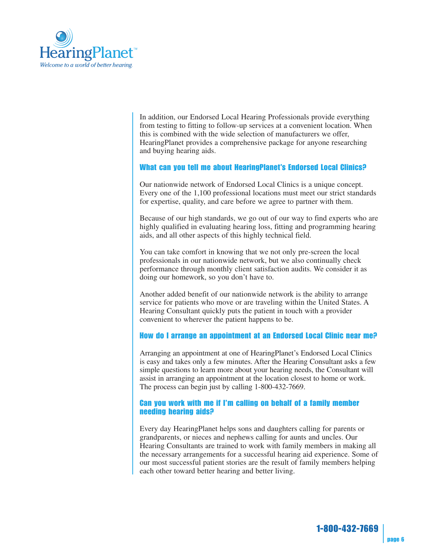

In addition, our Endorsed Local Hearing Professionals provide everything from testing to fitting to follow-up services at a convenient location. When this is combined with the wide selection of manufacturers we offer, HearingPlanet provides a comprehensive package for anyone researching and buying hearing aids.

#### What can you tell me about HearingPlanet's Endorsed Local Clinics?

Our nationwide network of Endorsed Local Clinics is a unique concept. Every one of the 1,100 professional locations must meet our strict standards for expertise, quality, and care before we agree to partner with them.

Because of our high standards, we go out of our way to find experts who are highly qualified in evaluating hearing loss, fitting and programming hearing aids, and all other aspects of this highly technical field.

You can take comfort in knowing that we not only pre-screen the local professionals in our nationwide network, but we also continually check performance through monthly client satisfaction audits. We consider it as doing our homework, so you don't have to.

Another added benefit of our nationwide network is the ability to arrange service for patients who move or are traveling within the United States. A Hearing Consultant quickly puts the patient in touch with a provider convenient to wherever the patient happens to be.

#### How do I arrange an appointment at an Endorsed Local Clinic near me?

Arranging an appointment at one of HearingPlanet's Endorsed Local Clinics is easy and takes only a few minutes. After the Hearing Consultant asks a few simple questions to learn more about your hearing needs, the Consultant will assist in arranging an appointment at the location closest to home or work. The process can begin just by calling 1-800-432-7669.

#### Can you work with me if I'm calling on behalf of a family member needing hearing aids?

Every day HearingPlanet helps sons and daughters calling for parents or grandparents, or nieces and nephews calling for aunts and uncles. Our Hearing Consultants are trained to work with family members in making all the necessary arrangements for a successful hearing aid experience. Some of our most successful patient stories are the result of family members helping each other toward better hearing and better living.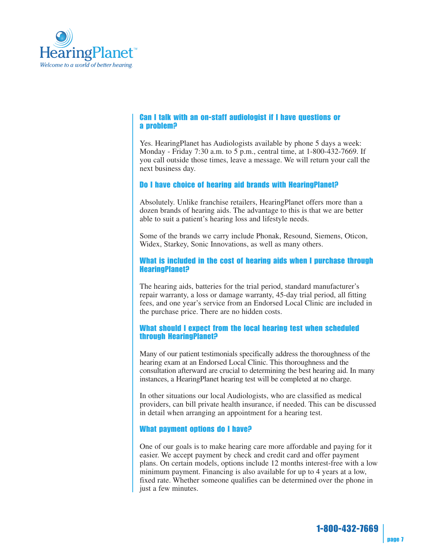

#### Can I talk with an on-staff audiologist if I have questions or a problem?

Yes. HearingPlanet has Audiologists available by phone 5 days a week: Monday - Friday 7:30 a.m. to 5 p.m., central time, at 1-800-432-7669. If you call outside those times, leave a message. We will return your call the next business day.

#### Do I have choice of hearing aid brands with HearingPlanet?

Absolutely. Unlike franchise retailers, HearingPlanet offers more than a dozen brands of hearing aids. The advantage to this is that we are better able to suit a patient's hearing loss and lifestyle needs.

Some of the brands we carry include Phonak, Resound, Siemens, Oticon, Widex, Starkey, Sonic Innovations, as well as many others.

#### What is included in the cost of hearing aids when I purchase through HearingPlanet?

The hearing aids, batteries for the trial period, standard manufacturer's repair warranty, a loss or damage warranty, 45-day trial period, all fitting fees, and one year's service from an Endorsed Local Clinic are included in the purchase price. There are no hidden costs.

#### What should I expect from the local hearing test when scheduled through HearingPlanet?

Many of our patient testimonials specifically address the thoroughness of the hearing exam at an Endorsed Local Clinic. This thoroughness and the consultation afterward are crucial to determining the best hearing aid. In many instances, a HearingPlanet hearing test will be completed at no charge.

In other situations our local Audiologists, who are classified as medical providers, can bill private health insurance, if needed. This can be discussed in detail when arranging an appointment for a hearing test.

#### What payment options do I have?

One of our goals is to make hearing care more affordable and paying for it easier. We accept payment by check and credit card and offer payment plans. On certain models, options include 12 months interest-free with a low minimum payment. Financing is also available for up to 4 years at a low, fixed rate. Whether someone qualifies can be determined over the phone in just a few minutes.

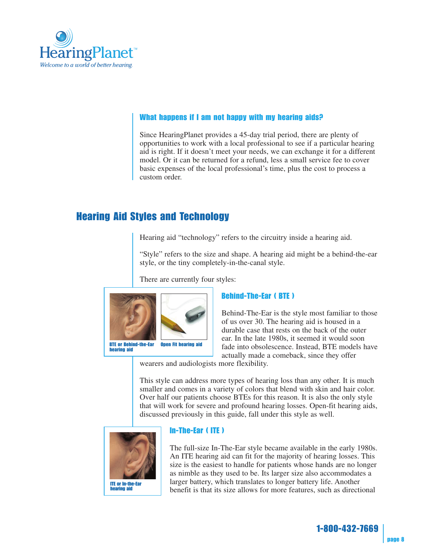

#### What happens if I am not happy with my hearing aids?

Since HearingPlanet provides a 45-day trial period, there are plenty of opportunities to work with a local professional to see if a particular hearing aid is right. If it doesn't meet your needs, we can exchange it for a different model. Or it can be returned for a refund, less a small service fee to cover basic expenses of the local professional's time, plus the cost to process a custom order.

## Hearing Aid Styles and Technology

Hearing aid "technology" refers to the circuitry inside a hearing aid.

"Style" refers to the size and shape. A hearing aid might be a behind-the-ear style, or the tiny completely-in-the-canal style.

There are currently four styles:



#### Behind-The-Ear ( BTE )

Behind-The-Ear is the style most familiar to those of us over 30. The hearing aid is housed in a durable case that rests on the back of the outer ear. In the late 1980s, it seemed it would soon fade into obsolescence. Instead, BTE models have actually made a comeback, since they offer

wearers and audiologists more flexibility.

This style can address more types of hearing loss than any other. It is much smaller and comes in a variety of colors that blend with skin and hair color. Over half our patients choose BTEs for this reason. It is also the only style that will work for severe and profound hearing losses. Open-fit hearing aids, discussed previously in this guide, fall under this style as well.



#### In-The-Ear ( ITE )

The full-size In-The-Ear style became available in the early 1980s. An ITE hearing aid can fit for the majority of hearing losses. This size is the easiest to handle for patients whose hands are no longer as nimble as they used to be. Its larger size also accommodates a larger battery, which translates to longer battery life. Another benefit is that its size allows for more features, such as directional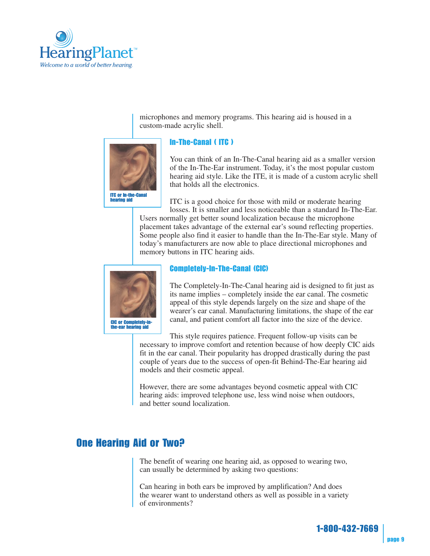

microphones and memory programs. This hearing aid is housed in a custom-made acrylic shell.



#### In-The-Canal ( ITC )

You can think of an In-The-Canal hearing aid as a smaller version of the In-The-Ear instrument. Today, it's the most popular custom hearing aid style. Like the ITE, it is made of a custom acrylic shell that holds all the electronics.

ITC is a good choice for those with mild or moderate hearing losses. It is smaller and less noticeable than a standard In-The-Ear.

Users normally get better sound localization because the microphone placement takes advantage of the external ear's sound reflecting properties. Some people also find it easier to handle than the In-The-Ear style. Many of today's manufacturers are now able to place directional microphones and memory buttons in ITC hearing aids.



#### Completely-In-The-Canal (CIC)

The Completely-In-The-Canal hearing aid is designed to fit just as its name implies – completely inside the ear canal. The cosmetic appeal of this style depends largely on the size and shape of the wearer's ear canal. Manufacturing limitations, the shape of the ear canal, and patient comfort all factor into the size of the device.

This style requires patience. Frequent follow-up visits can be necessary to improve comfort and retention because of how deeply CIC aids fit in the ear canal. Their popularity has dropped drastically during the past couple of years due to the success of open-fit Behind-The-Ear hearing aid models and their cosmetic appeal.

However, there are some advantages beyond cosmetic appeal with CIC hearing aids: improved telephone use, less wind noise when outdoors, and better sound localization.

## One Hearing Aid or Two?

The benefit of wearing one hearing aid, as opposed to wearing two, can usually be determined by asking two questions:

Can hearing in both ears be improved by amplification? And does the wearer want to understand others as well as possible in a variety of environments?

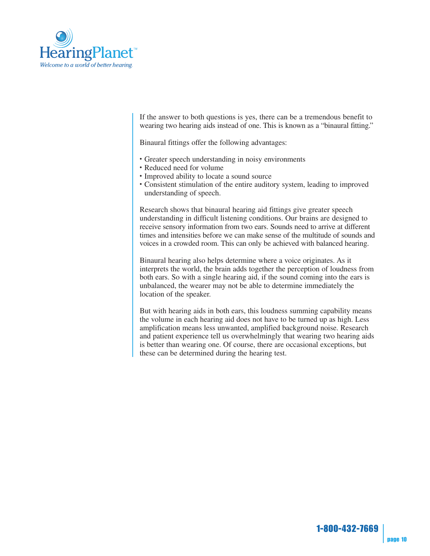

If the answer to both questions is yes, there can be a tremendous benefit to wearing two hearing aids instead of one. This is known as a "binaural fitting."

Binaural fittings offer the following advantages:

- Greater speech understanding in noisy environments
- Reduced need for volume
- Improved ability to locate a sound source
- Consistent stimulation of the entire auditory system, leading to improved understanding of speech.

Research shows that binaural hearing aid fittings give greater speech understanding in difficult listening conditions. Our brains are designed to receive sensory information from two ears. Sounds need to arrive at different times and intensities before we can make sense of the multitude of sounds and voices in a crowded room. This can only be achieved with balanced hearing.

Binaural hearing also helps determine where a voice originates. As it interprets the world, the brain adds together the perception of loudness from both ears. So with a single hearing aid, if the sound coming into the ears is unbalanced, the wearer may not be able to determine immediately the location of the speaker.

But with hearing aids in both ears, this loudness summing capability means the volume in each hearing aid does not have to be turned up as high. Less amplification means less unwanted, amplified background noise. Research and patient experience tell us overwhelmingly that wearing two hearing aids is better than wearing one. Of course, there are occasional exceptions, but these can be determined during the hearing test.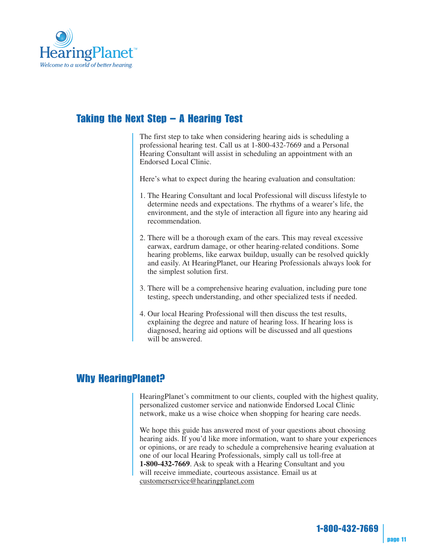

## Taking the Next Step – A Hearing Test

The first step to take when considering hearing aids is scheduling a professional hearing test. Call us at 1-800-432-7669 and a Personal Hearing Consultant will assist in scheduling an appointment with an Endorsed Local Clinic.

Here's what to expect during the hearing evaluation and consultation:

- 1. The Hearing Consultant and local Professional will discuss lifestyle to determine needs and expectations. The rhythms of a wearer's life, the environment, and the style of interaction all figure into any hearing aid recommendation.
- 2. There will be a thorough exam of the ears. This may reveal excessive earwax, eardrum damage, or other hearing-related conditions. Some hearing problems, like earwax buildup, usually can be resolved quickly and easily. At HearingPlanet, our Hearing Professionals always look for the simplest solution first.
- 3. There will be a comprehensive hearing evaluation, including pure tone testing, speech understanding, and other specialized tests if needed.
- 4. Our local Hearing Professional will then discuss the test results, explaining the degree and nature of hearing loss. If hearing loss is diagnosed, hearing aid options will be discussed and all questions will be answered.

## Why HearingPlanet?

HearingPlanet's commitment to our clients, coupled with the highest quality, personalized customer service and nationwide Endorsed Local Clinic network, make us a wise choice when shopping for hearing care needs.

We hope this guide has answered most of your questions about choosing hearing aids. If you'd like more information, want to share your experiences or opinions, or are ready to schedule a comprehensive hearing evaluation at one of our local Hearing Professionals, simply call us toll-free at **1-800-432-7669**. Ask to speak with a Hearing Consultant and you will receive immediate, courteous assistance. Email us at customerservice@hearingplanet.com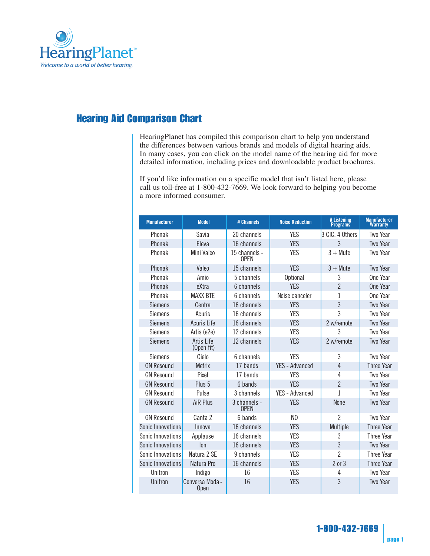

## Hearing Aid Comparison Chart

HearingPlanet has compiled this comparison chart to help you understand the differences between various brands and models of digital hearing aids. In many cases, you can click on the model name of the hearing aid for more detailed information, including prices and downloadable product brochures.

If you'd like information on a specific model that isn't listed here, please call us toll-free at 1-800-432-7669. We look forward to helping you become a more informed consumer.

| <b>Manufacturer</b> | <b>Model</b>                   | # Channels                   | <b>Noise Reduction</b> | # Listening<br>Programs | <b>Manufacturer</b><br><b>Warranty</b> |
|---------------------|--------------------------------|------------------------------|------------------------|-------------------------|----------------------------------------|
| Phonak              | Savia                          | 20 channels                  | <b>YES</b>             | 3 CIC, 4 Others         | <b>Two Year</b>                        |
| Phonak              | Eleva                          | 16 channels                  | <b>YES</b>             | $\overline{3}$          | <b>Two Year</b>                        |
| Phonak              | Mini Valeo                     | 15 channels -<br><b>OPEN</b> | <b>YFS</b>             | $3 +$ Mute              | Two Year                               |
| Phonak              | Valeo                          | 15 channels                  | <b>YES</b>             | $3 +$ Mute              | Two Year                               |
| Phonak              | Amio                           | 5 channels                   | <b>Optional</b>        | 3                       | One Year                               |
| Phonak              | eXtra                          | 6 channels                   | <b>YFS</b>             | $\overline{2}$          | One Year                               |
| Phonak              | <b>MAXX BTE</b>                | 6 channels                   | Noise canceler         | 1                       | One Year                               |
| <b>Siemens</b>      | Centra                         | 16 channels                  | <b>YES</b>             | 3                       | <b>Two Year</b>                        |
| <b>Siemens</b>      | Acuris                         | 16 channels                  | <b>YES</b>             | 3                       | Two Year                               |
| <b>Siemens</b>      | <b>Acuris Life</b>             | 16 channels                  | <b>YES</b>             | 2 w/remote              | <b>Two Year</b>                        |
| <b>Siemens</b>      | Artis (e2e)                    | 12 channels                  | <b>YES</b>             | 3                       | Two Year                               |
| <b>Siemens</b>      | Artis Life<br>(Open fit)       | 12 channels                  | <b>YES</b>             | 2 w/remote              | <b>Two Year</b>                        |
| <b>Siemens</b>      | Cielo                          | 6 channels                   | <b>YES</b>             | 3                       | Two Year                               |
| <b>GN Resound</b>   | <b>Metrix</b>                  | 17 bands                     | <b>YES - Advanced</b>  | $\overline{4}$          | <b>Three Year</b>                      |
| <b>GN Resound</b>   | Pixel                          | 17 bands                     | <b>YES</b>             | 4                       | Two Year                               |
| <b>GN Resound</b>   | Plus 5                         | 6 bands                      | <b>YES</b>             | $\overline{2}$          | Two Year                               |
| <b>GN Resound</b>   | Pulse                          | 3 channels                   | YFS - Advanced         | 1                       | Two Year                               |
| <b>GN Resound</b>   | AiR Plus                       | 3 channels -<br><b>OPFN</b>  | <b>YES</b>             | <b>None</b>             | Two Year                               |
| <b>GN Resound</b>   | Canta 2                        | 6 hands                      | N <sub>0</sub>         | $\overline{2}$          | Two Year                               |
| Sonic Innovations   | Innova                         | 16 channels                  | <b>YES</b>             | Multiple                | <b>Three Year</b>                      |
| Sonic Innovations   | Applause                       | 16 channels                  | <b>YES</b>             | 3                       | Three Year                             |
| Sonic Innovations   | lon                            | 16 channels                  | <b>YES</b>             | $\overline{3}$          | <b>Two Year</b>                        |
| Sonic Innovations   | Natura 2 SE                    | 9 channels                   | <b>YES</b>             | $\overline{2}$          | <b>Three Year</b>                      |
| Sonic Innovations   | Natura Pro                     | 16 channels                  | <b>YES</b>             | $2$ or $3$              | <b>Three Year</b>                      |
| Unitron             | Indigo                         | 16                           | <b>YES</b>             | 4                       | Two Year                               |
| Unitron             | Conversa Moda -<br><b>Open</b> | 16                           | <b>YES</b>             | 3                       | <b>Two Year</b>                        |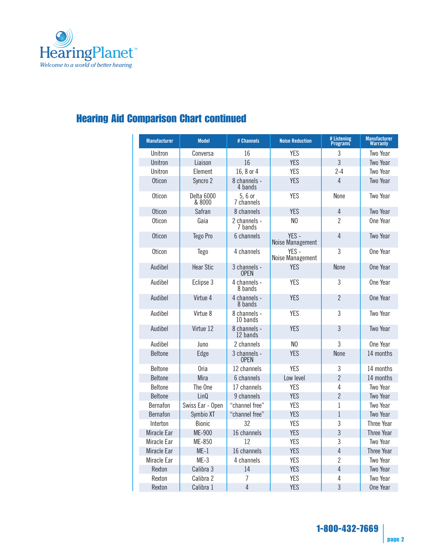

# Hearing Aid Comparison Chart continued

| <b>Manufacturer</b> | <b>Model</b>         | # Channels                  | <b>Noise Reduction</b>    | # Listening<br>Programs | <b>Manufacturer</b><br>Warranty |
|---------------------|----------------------|-----------------------------|---------------------------|-------------------------|---------------------------------|
| Unitron             | Conversa             | 16                          | <b>YES</b>                | 3                       | Two Year                        |
| Unitron             | Liaison              | 16                          | <b>YES</b>                | $\overline{3}$          | <b>Two Year</b>                 |
| Unitron             | Element              | 16, 8 or 4                  | <b>YES</b>                | $2 - 4$                 | Two Year                        |
| <b>Oticon</b>       | Syncro <sub>2</sub>  | 8 channels -<br>4 bands     | <b>YES</b>                | 4                       | Two Year                        |
| <b>Oticon</b>       | Delta 6000<br>& 8000 | 5, 6 or<br>7 channels       | <b>YES</b>                | None                    | <b>Two Year</b>                 |
| <b>Oticon</b>       | Safran               | 8 channels                  | <b>YES</b>                | $\overline{4}$          | Two Year                        |
| Oticon              | Gaia                 | 2 channels -<br>7 bands     | N <sub>0</sub>            | $\mathcal{P}$           | One Year                        |
| <b>Oticon</b>       | Tego Pro             | 6 channels                  | YES -<br>Noise Management | 4                       | Two Year                        |
| <b>Oticon</b>       | <b>Tego</b>          | 4 channels                  | YES -<br>Noise Management | 3                       | One Year                        |
| Audibel             | <b>Hear Stic</b>     | 3 channels -<br><b>OPEN</b> | <b>YFS</b>                | <b>None</b>             | One Year                        |
| Audibel             | Eclipse 3            | 4 channels -<br>8 bands     | <b>YES</b>                | 3                       | One Year                        |
| Audibel             | Virtue 4             | 4 channels -<br>8 bands     | <b>YES</b>                | $\overline{2}$          | One Year                        |
| Audibel             | Virtue 8             | 8 channels -<br>10 bands    | <b>YES</b>                | 3                       | Two Year                        |
| Audibel             | Virtue 12            | 8 channels -<br>12 bands    | <b>YES</b>                | $\overline{3}$          | Two Year                        |
| Audibel             | Juno                 | 2 channels                  | N <sub>0</sub>            | 3                       | One Year                        |
| <b>Beltone</b>      | Edge                 | 3 channels -<br><b>OPEN</b> | <b>YES</b>                | <b>None</b>             | 14 months                       |
| <b>Beltone</b>      | 0ria                 | 12 channels                 | <b>YES</b>                | 3                       | 14 months                       |
| <b>Beltone</b>      | Mira                 | 6 channels                  | Low level                 | $\overline{2}$          | 14 months                       |
| <b>Beltone</b>      | The One              | 17 channels                 | <b>YES</b>                | $\overline{4}$          | Two Year                        |
| <b>Beltone</b>      | LinQ                 | 9 channels                  | <b>YES</b>                | $\overline{2}$          | Two Year                        |
| <b>Bernafon</b>     | Swiss Ear - Open     | "channel free"              | <b>YES</b>                | 1                       | Two Year                        |
| Bernafon            | Symbio XT            | "channel free"              | <b>YES</b>                | $\overline{1}$          | <b>Two Year</b>                 |
| Interton            | <b>Bionic</b>        | 32                          | <b>YES</b>                | 3                       | Three Year                      |
| Miracle Ear         | ME-900               | 16 channels                 | <b>YES</b>                | 3                       | <b>Three Year</b>               |
| Miracle Ear         | ME-850               | 12                          | <b>YES</b>                | 3                       | Two Year                        |
| Miracle Ear         | $ME-1$               | 16 channels                 | <b>YES</b>                | $\overline{4}$          | <b>Three Year</b>               |
| Miracle Ear         | $ME-3$               | 4 channels                  | <b>YES</b>                | $\overline{2}$          | <b>Two Year</b>                 |
| Rexton              | Calibra 3            | 14                          | <b>YES</b>                | $\overline{4}$          | <b>Two Year</b>                 |
| Rexton              | Calibra 2            | 7                           | <b>YES</b>                | 4                       | <b>Two Year</b>                 |
| Rexton              | Calibra 1            | $\overline{4}$              | <b>YES</b>                | 3                       | One Year                        |